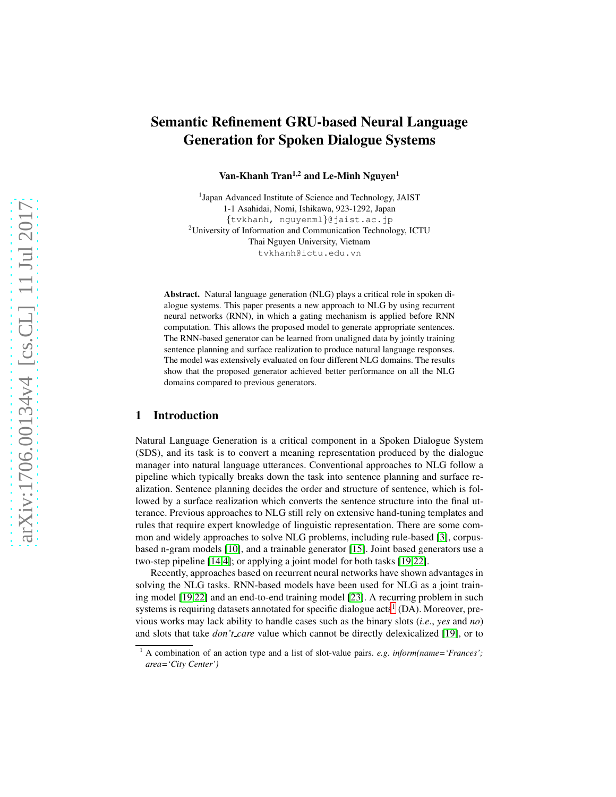# Semantic Refinement GRU-based Neural Language Generation for Spoken Dialogue Systems

Van-Khanh Tran<sup>1,2</sup> and Le-Minh Nguyen<sup>1</sup>

<sup>1</sup>Japan Advanced Institute of Science and Technology, JAIST 1-1 Asahidai, Nomi, Ishikawa, 923-1292, Japan {tvkhanh, nguyenml}@jaist.ac.jp <sup>2</sup>University of Information and Communication Technology, ICTU Thai Nguyen University, Vietnam tvkhanh@ictu.edu.vn

Abstract. Natural language generation (NLG) plays a critical role in spoken dialogue systems. This paper presents a new approach to NLG by using recurrent neural networks (RNN), in which a gating mechanism is applied before RNN computation. This allows the proposed model to generate appropriate sentences. The RNN-based generator can be learned from unaligned data by jointly training sentence planning and surface realization to produce natural language responses. The model was extensively evaluated on four different NLG domains. The results show that the proposed generator achieved better performance on all the NLG domains compared to previous generators.

## 1 Introduction

Natural Language Generation is a critical component in a Spoken Dialogue System (SDS), and its task is to convert a meaning representation produced by the dialogue manager into natural language utterances. Conventional approaches to NLG follow a pipeline which typically breaks down the task into sentence planning and surface realization. Sentence planning decides the order and structure of sentence, which is followed by a surface realization which converts the sentence structure into the final utterance. Previous approaches to NLG still rely on extensive hand-tuning templates and rules that require expert knowledge of linguistic representation. There are some common and widely approaches to solve NLG problems, including rule-based [\[3\]](#page-10-0), corpusbased n-gram models [\[10\]](#page-10-1), and a trainable generator [\[15\]](#page-11-0). Joint based generators use a two-step pipeline [\[14](#page-10-2)[,4\]](#page-10-3); or applying a joint model for both tasks [\[19,](#page-11-1)[22\]](#page-11-2).

Recently, approaches based on recurrent neural networks have shown advantages in solving the NLG tasks. RNN-based models have been used for NLG as a joint training model [\[19](#page-11-1)[,22\]](#page-11-2) and an end-to-end training model [\[23\]](#page-11-3). A recurring problem in such systems is requiring datasets annotated for specific dialogue acts<sup>[1](#page-0-0)</sup> (DA). Moreover, previous works may lack ability to handle cases such as the binary slots (*i.e*., *yes* and *no*) and slots that take *don't care* value which cannot be directly delexicalized [\[19\]](#page-11-1), or to

<span id="page-0-0"></span><sup>1</sup> A combination of an action type and a list of slot-value pairs. *e.g*. *inform(name='Frances'; area='City Center')*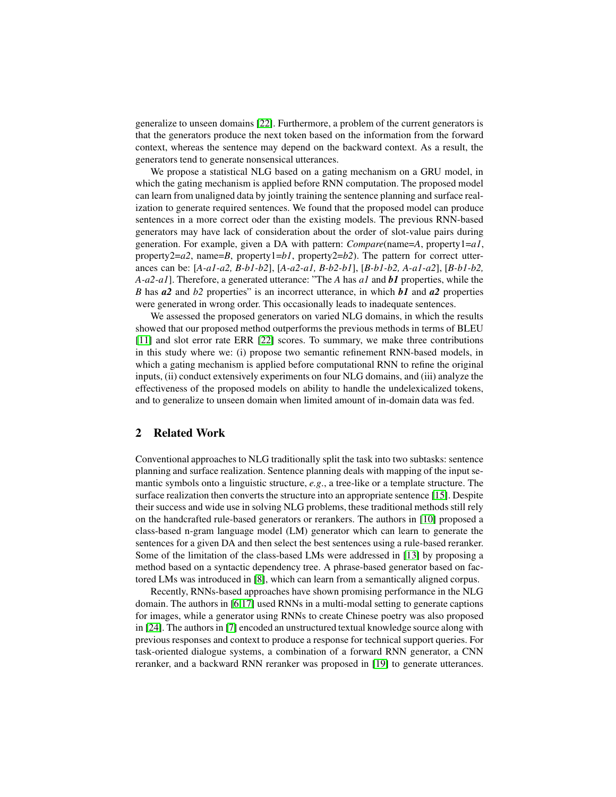generalize to unseen domains [\[22\]](#page-11-2). Furthermore, a problem of the current generators is that the generators produce the next token based on the information from the forward context, whereas the sentence may depend on the backward context. As a result, the generators tend to generate nonsensical utterances.

We propose a statistical NLG based on a gating mechanism on a GRU model, in which the gating mechanism is applied before RNN computation. The proposed model can learn from unaligned data by jointly training the sentence planning and surface realization to generate required sentences. We found that the proposed model can produce sentences in a more correct oder than the existing models. The previous RNN-based generators may have lack of consideration about the order of slot-value pairs during generation. For example, given a DA with pattern: *Compare*(name=*A*, property1=*a1*, property2= $a2$ , name= $B$ , property1= $b1$ , property2= $b2$ ). The pattern for correct utterances can be: [*A-a1-a2, B-b1-b2*], [*A-a2-a1, B-b2-b1*], [*B-b1-b2, A-a1-a2*], [*B-b1-b2, A-a2-a1*]. Therefore, a generated utterance: "The *A* has *a1* and *b1* properties, while the *B* has *a2* and *b2* properties" is an incorrect utterance, in which *b1* and *a2* properties were generated in wrong order. This occasionally leads to inadequate sentences.

We assessed the proposed generators on varied NLG domains, in which the results showed that our proposed method outperforms the previous methods in terms of BLEU [\[11\]](#page-10-4) and slot error rate ERR [\[22\]](#page-11-2) scores. To summary, we make three contributions in this study where we: (i) propose two semantic refinement RNN-based models, in which a gating mechanism is applied before computational RNN to refine the original inputs, (ii) conduct extensively experiments on four NLG domains, and (iii) analyze the effectiveness of the proposed models on ability to handle the undelexicalized tokens, and to generalize to unseen domain when limited amount of in-domain data was fed.

### 2 Related Work

Conventional approaches to NLG traditionally split the task into two subtasks: sentence planning and surface realization. Sentence planning deals with mapping of the input semantic symbols onto a linguistic structure, *e.g*., a tree-like or a template structure. The surface realization then converts the structure into an appropriate sentence [\[15\]](#page-11-0). Despite their success and wide use in solving NLG problems, these traditional methods still rely on the handcrafted rule-based generators or rerankers. The authors in [\[10\]](#page-10-1) proposed a class-based n-gram language model (LM) generator which can learn to generate the sentences for a given DA and then select the best sentences using a rule-based reranker. Some of the limitation of the class-based LMs were addressed in [\[13\]](#page-10-5) by proposing a method based on a syntactic dependency tree. A phrase-based generator based on factored LMs was introduced in [\[8\]](#page-10-6), which can learn from a semantically aligned corpus.

Recently, RNNs-based approaches have shown promising performance in the NLG domain. The authors in [\[6](#page-10-7)[,17\]](#page-11-4) used RNNs in a multi-modal setting to generate captions for images, while a generator using RNNs to create Chinese poetry was also proposed in [\[24\]](#page-11-5). The authors in [\[7\]](#page-10-8) encoded an unstructured textual knowledge source along with previous responses and context to produce a response for technical support queries. For task-oriented dialogue systems, a combination of a forward RNN generator, a CNN reranker, and a backward RNN reranker was proposed in [\[19\]](#page-11-1) to generate utterances.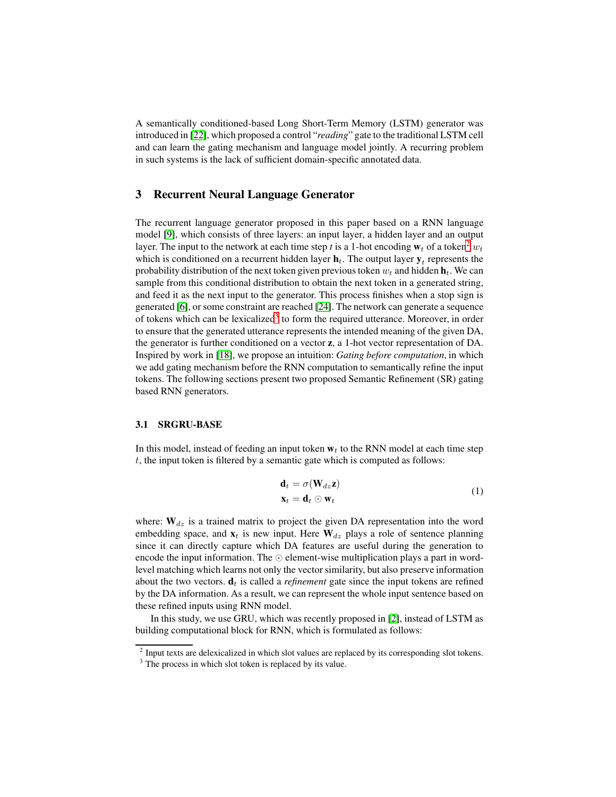A semantically conditioned-based Long Short-Term Memory (LSTM) generator was introduced in [\[22\]](#page-11-2), which proposed a control "*reading*" gate to the traditional LSTM cell and can learn the gating mechanism and language model jointly. A recurring problem in such systems is the lack of sufficient domain-specific annotated data.

# 3 Recurrent Neural Language Generator

The recurrent language generator proposed in this paper based on a RNN language model [\[9\]](#page-10-9), which consists of three layers: an input layer, a hidden layer and an output layer. The input to the network at each time step t is a 1-hot encoding  $w_t$  of a token<sup>[2](#page-2-0)</sup>  $w_t$ which is conditioned on a recurrent hidden layer  $\mathbf{h}_t$ . The output layer  $\mathbf{y}_t$  represents the probability distribution of the next token given previous token  $w_t$  and hidden  $h_t$ . We can sample from this conditional distribution to obtain the next token in a generated string, and feed it as the next input to the generator. This process finishes when a stop sign is generated [\[6\]](#page-10-7), or some constraint are reached [\[24\]](#page-11-5). The network can generate a sequence of tokens which can be lexicalized<sup>[3](#page-6-0)</sup> to form the required utterance. Moreover, in order to ensure that the generated utterance represents the intended meaning of the given DA, the generator is further conditioned on a vector z, a 1-hot vector representation of DA. Inspired by work in [\[18\]](#page-11-6), we propose an intuition: *Gating before computation*, in which we add gating mechanism before the RNN computation to semantically refine the input tokens. The following sections present two proposed Semantic Refinement (SR) gating based RNN generators.

#### 3.1 SRGRU-BASE

In this model, instead of feeding an input token  $w_t$  to the RNN model at each time step  $t$ , the input token is filtered by a semantic gate which is computed as follows:

<span id="page-2-1"></span>
$$
\mathbf{d}_t = \sigma(\mathbf{W}_{dz}\mathbf{z})
$$
  

$$
\mathbf{x}_t = \mathbf{d}_t \odot \mathbf{w}_t
$$
 (1)

where:  $W_{dz}$  is a trained matrix to project the given DA representation into the word embedding space, and  $x_t$  is new input. Here  $W_{dz}$  plays a role of sentence planning since it can directly capture which DA features are useful during the generation to encode the input information. The  $\odot$  element-wise multiplication plays a part in wordlevel matching which learns not only the vector similarity, but also preserve information about the two vectors.  $\mathbf{d}_t$  is called a *refinement* gate since the input tokens are refined by the DA information. As a result, we can represent the whole input sentence based on these refined inputs using RNN model.

In this study, we use GRU, which was recently proposed in [\[2\]](#page-10-10), instead of LSTM as building computational block for RNN, which is formulated as follows:

 $2$  Input texts are delexicalized in which slot values are replaced by its corresponding slot tokens.

<span id="page-2-0"></span><sup>&</sup>lt;sup>3</sup> The process in which slot token is replaced by its value.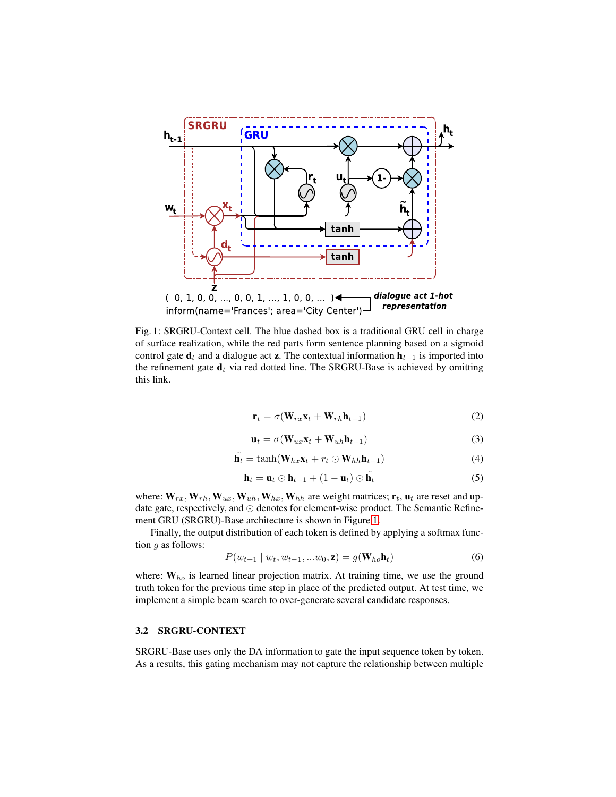<span id="page-3-0"></span>

Fig. 1: SRGRU-Context cell. The blue dashed box is a traditional GRU cell in charge of surface realization, while the red parts form sentence planning based on a sigmoid control gate  $\mathbf{d}_t$  and a dialogue act z. The contextual information  $\mathbf{h}_{t-1}$  is imported into the refinement gate  $\mathbf{d}_t$  via red dotted line. The SRGRU-Base is achieved by omitting this link.

<span id="page-3-1"></span>
$$
\mathbf{r}_t = \sigma(\mathbf{W}_{rx}\mathbf{x}_t + \mathbf{W}_{rh}\mathbf{h}_{t-1})
$$
\n(2)

<span id="page-3-2"></span>
$$
\mathbf{u}_t = \sigma(\mathbf{W}_{ux}\mathbf{x}_t + \mathbf{W}_{uh}\mathbf{h}_{t-1})
$$
\n(3)

<span id="page-3-3"></span>
$$
\tilde{\mathbf{h}_t} = \tanh(\mathbf{W}_{hx}\mathbf{x}_t + r_t \odot \mathbf{W}_{hh}\mathbf{h}_{t-1})
$$
\n(4)

$$
\mathbf{h}_t = \mathbf{u}_t \odot \mathbf{h}_{t-1} + (1 - \mathbf{u}_t) \odot \tilde{\mathbf{h}_t}
$$
 (5)

where:  $W_{rx}$ ,  $W_{rh}$ ,  $W_{ux}$ ,  $W_{uh}$ ,  $W_{hx}$ ,  $W_{hh}$  are weight matrices;  $\mathbf{r}_t$ ,  $\mathbf{u}_t$  are reset and update gate, respectively, and ⊙ denotes for element-wise product. The Semantic Refinement GRU (SRGRU)-Base architecture is shown in Figure [1.](#page-3-0)

Finally, the output distribution of each token is defined by applying a softmax function  $g$  as follows:

$$
P(w_{t+1} | w_t, w_{t-1}, \dots w_0, \mathbf{z}) = g(\mathbf{W}_{ho}\mathbf{h}_t)
$$
\n
$$
(6)
$$

where:  $W_{ho}$  is learned linear projection matrix. At training time, we use the ground truth token for the previous time step in place of the predicted output. At test time, we implement a simple beam search to over-generate several candidate responses.

# 3.2 SRGRU-CONTEXT

SRGRU-Base uses only the DA information to gate the input sequence token by token. As a results, this gating mechanism may not capture the relationship between multiple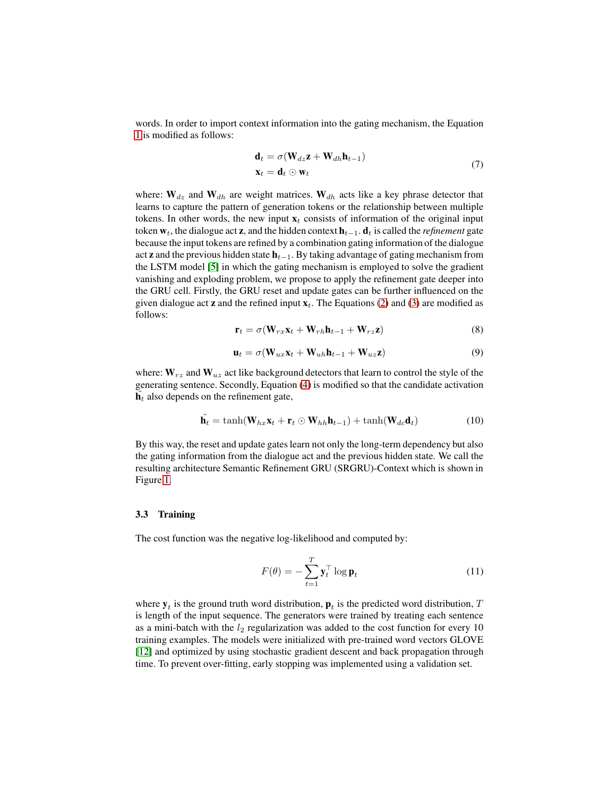words. In order to import context information into the gating mechanism, the Equation [1](#page-2-1) is modified as follows:

<span id="page-4-1"></span>
$$
\mathbf{d}_t = \sigma(\mathbf{W}_{dz}\mathbf{z} + \mathbf{W}_{dh}\mathbf{h}_{t-1})
$$
  

$$
\mathbf{x}_t = \mathbf{d}_t \odot \mathbf{w}_t
$$
 (7)

where:  $W_{dz}$  and  $W_{dh}$  are weight matrices.  $W_{dh}$  acts like a key phrase detector that learns to capture the pattern of generation tokens or the relationship between multiple tokens. In other words, the new input  $x_t$  consists of information of the original input token  $w_t$ , the dialogue act **z**, and the hidden context  $\mathbf{h}_{t-1}$ .  $\mathbf{d}_t$  is called the *refinement* gate because the input tokens are refined by a combination gating information of the dialogue act **z** and the previous hidden state  $h_{t-1}$ . By taking advantage of gating mechanism from the LSTM model [\[5\]](#page-10-11) in which the gating mechanism is employed to solve the gradient vanishing and exploding problem, we propose to apply the refinement gate deeper into the GRU cell. Firstly, the GRU reset and update gates can be further influenced on the given dialogue act **z** and the refined input  $x_t$ . The Equations [\(2\)](#page-3-1) and [\(3\)](#page-3-2) are modified as follows:

$$
\mathbf{r}_t = \sigma(\mathbf{W}_{rx}\mathbf{x}_t + \mathbf{W}_{rh}\mathbf{h}_{t-1} + \mathbf{W}_{rz}\mathbf{z})
$$
(8)

$$
\mathbf{u}_t = \sigma(\mathbf{W}_{ux}\mathbf{x}_t + \mathbf{W}_{uh}\mathbf{h}_{t-1} + \mathbf{W}_{uz}\mathbf{z})
$$
(9)

where:  $W_{rz}$  and  $W_{uz}$  act like background detectors that learn to control the style of the generating sentence. Secondly, Equation [\(4\)](#page-3-3) is modified so that the candidate activation  $\tilde{\mathbf{h}}_t$  also depends on the refinement gate,

$$
\tilde{\mathbf{h}_t} = \tanh(\mathbf{W}_{hx}\mathbf{x}_t + \mathbf{r}_t \odot \mathbf{W}_{hh}\mathbf{h}_{t-1}) + \tanh(\mathbf{W}_{dc}\mathbf{d}_t) \tag{10}
$$

By this way, the reset and update gates learn not only the long-term dependency but also the gating information from the dialogue act and the previous hidden state. We call the resulting architecture Semantic Refinement GRU (SRGRU)-Context which is shown in Figure [1.](#page-3-0)

#### <span id="page-4-0"></span>3.3 Training

The cost function was the negative log-likelihood and computed by:

$$
F(\theta) = -\sum_{t=1}^{T} \mathbf{y}_t^{\top} \log \mathbf{p}_t
$$
 (11)

where  $y_t$  is the ground truth word distribution,  $p_t$  is the predicted word distribution, T is length of the input sequence. The generators were trained by treating each sentence as a mini-batch with the  $l_2$  regularization was added to the cost function for every 10 training examples. The models were initialized with pre-trained word vectors GLOVE [\[12\]](#page-10-12) and optimized by using stochastic gradient descent and back propagation through time. To prevent over-fitting, early stopping was implemented using a validation set.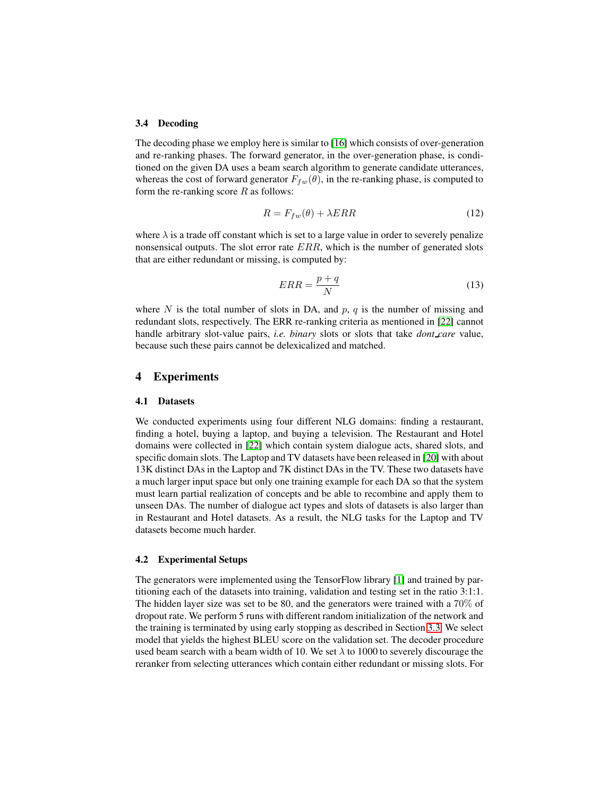#### 3.4 Decoding

The decoding phase we employ here is similar to [\[16\]](#page-11-7) which consists of over-generation and re-ranking phases. The forward generator, in the over-generation phase, is conditioned on the given DA uses a beam search algorithm to generate candidate utterances, whereas the cost of forward generator  $F_{fw}(\theta)$ , in the re-ranking phase, is computed to form the re-ranking score  $R$  as follows:

$$
R = F_{fw}(\theta) + \lambda ERR \tag{12}
$$

where  $\lambda$  is a trade off constant which is set to a large value in order to severely penalize nonsensical outputs. The slot error rate  $ERR$ , which is the number of generated slots that are either redundant or missing, is computed by:

$$
ERR = \frac{p+q}{N} \tag{13}
$$

where N is the total number of slots in DA, and  $p$ ,  $q$  is the number of missing and redundant slots, respectively. The ERR re-ranking criteria as mentioned in [\[22\]](#page-11-2) cannot handle arbitrary slot-value pairs, *i.e. binary* slots or slots that take *dont care* value, because such these pairs cannot be delexicalized and matched.

## 4 Experiments

#### <span id="page-5-0"></span>4.1 Datasets

We conducted experiments using four different NLG domains: finding a restaurant, finding a hotel, buying a laptop, and buying a television. The Restaurant and Hotel domains were collected in [\[22\]](#page-11-2) which contain system dialogue acts, shared slots, and specific domain slots. The Laptop and TV datasets have been released in [\[20\]](#page-11-8) with about 13K distinct DAs in the Laptop and 7K distinct DAs in the TV. These two datasets have a much larger input space but only one training example for each DA so that the system must learn partial realization of concepts and be able to recombine and apply them to unseen DAs. The number of dialogue act types and slots of datasets is also larger than in Restaurant and Hotel datasets. As a result, the NLG tasks for the Laptop and TV datasets become much harder.

#### 4.2 Experimental Setups

The generators were implemented using the TensorFlow library [\[1\]](#page-10-13) and trained by partitioning each of the datasets into training, validation and testing set in the ratio 3:1:1. The hidden layer size was set to be 80, and the generators were trained with a 70% of dropout rate. We perform 5 runs with different random initialization of the network and the training is terminated by using early stopping as described in Section [3.3.](#page-4-0) We select model that yields the highest BLEU score on the validation set. The decoder procedure used beam search with a beam width of 10. We set  $\lambda$  to 1000 to severely discourage the reranker from selecting utterances which contain either redundant or missing slots. For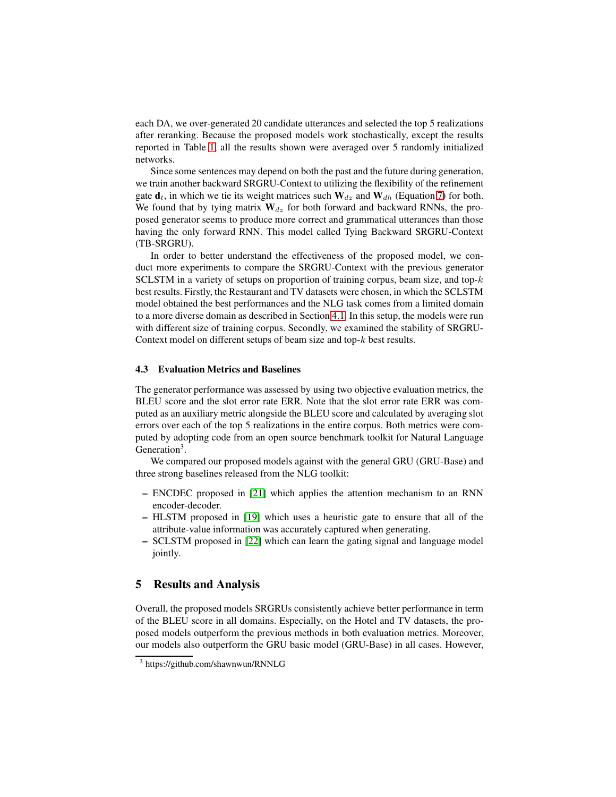each DA, we over-generated 20 candidate utterances and selected the top 5 realizations after reranking. Because the proposed models work stochastically, except the results reported in Table [1,](#page-7-0) all the results shown were averaged over 5 randomly initialized networks.

Since some sentences may depend on both the past and the future during generation, we train another backward SRGRU-Context to utilizing the flexibility of the refinement gate  $\mathbf{d}_t$ , in which we tie its weight matrices such  $\mathbf{W}_{dz}$  and  $\mathbf{W}_{dh}$  (Equation [7\)](#page-4-1) for both. We found that by tying matrix  $W_{dz}$  for both forward and backward RNNs, the proposed generator seems to produce more correct and grammatical utterances than those having the only forward RNN. This model called Tying Backward SRGRU-Context (TB-SRGRU).

In order to better understand the effectiveness of the proposed model, we conduct more experiments to compare the SRGRU-Context with the previous generator SCLSTM in a variety of setups on proportion of training corpus, beam size, and top- $k$ best results. Firstly, the Restaurant and TV datasets were chosen, in which the SCLSTM model obtained the best performances and the NLG task comes from a limited domain to a more diverse domain as described in Section [4.1.](#page-5-0) In this setup, the models were run with different size of training corpus. Secondly, we examined the stability of SRGRU-Context model on different setups of beam size and top-k best results.

## 4.3 Evaluation Metrics and Baselines

The generator performance was assessed by using two objective evaluation metrics, the BLEU score and the slot error rate ERR. Note that the slot error rate ERR was computed as an auxiliary metric alongside the BLEU score and calculated by averaging slot errors over each of the top 5 realizations in the entire corpus. Both metrics were computed by adopting code from an open source benchmark toolkit for Natural Language Generation<sup>3</sup>.

We compared our proposed models against with the general GRU (GRU-Base) and three strong baselines released from the NLG toolkit:

- ENCDEC proposed in [\[21\]](#page-11-9) which applies the attention mechanism to an RNN encoder-decoder.
- HLSTM proposed in [\[19\]](#page-11-1) which uses a heuristic gate to ensure that all of the attribute-value information was accurately captured when generating.
- SCLSTM proposed in [\[22\]](#page-11-2) which can learn the gating signal and language model jointly.

## 5 Results and Analysis

Overall, the proposed models SRGRUs consistently achieve better performance in term of the BLEU score in all domains. Especially, on the Hotel and TV datasets, the proposed models outperform the previous methods in both evaluation metrics. Moreover, our models also outperform the GRU basic model (GRU-Base) in all cases. However,

<span id="page-6-0"></span><sup>3</sup> https://github.com/shawnwun/RNNLG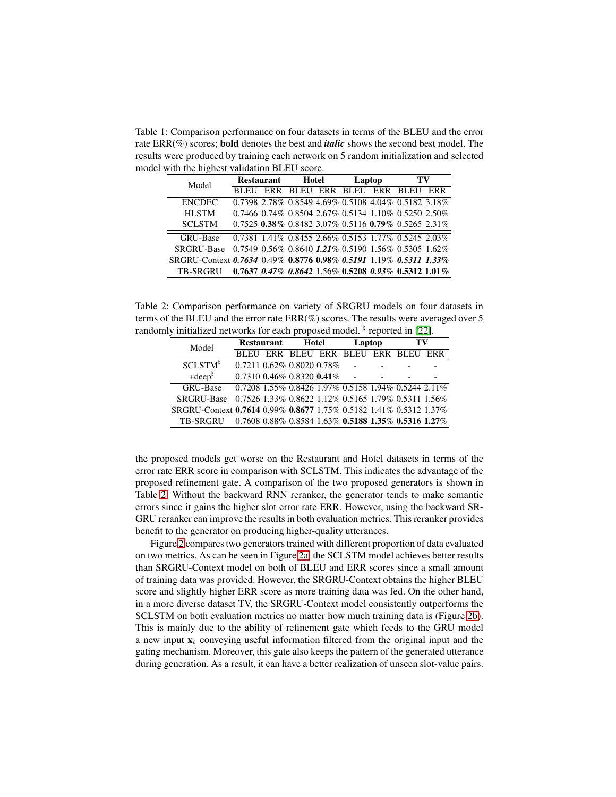<span id="page-7-0"></span>Table 1: Comparison performance on four datasets in terms of the BLEU and the error rate ERR(%) scores; bold denotes the best and *italic* shows the second best model. The results were produced by training each network on 5 random initialization and selected model with the highest validation BLEU score.

| Model                                                             | <b>Restaurant</b> |     | Hotel |  | Laptop |  | TV                                                                      |     |
|-------------------------------------------------------------------|-------------------|-----|-------|--|--------|--|-------------------------------------------------------------------------|-----|
|                                                                   |                   | ERR |       |  |        |  | BLEU ERR BLEU ERR BLEU                                                  | ERR |
| <b>ENCDEC</b>                                                     |                   |     |       |  |        |  | 0.7398 2.78% 0.8549 4.69% 0.5108 4.04% 0.5182 3.18%                     |     |
| <b>HLSTM</b>                                                      |                   |     |       |  |        |  | 0.7466 0.74% 0.8504 2.67% 0.5134 1.10% 0.5250 2.50%                     |     |
| <b>SCLSTM</b>                                                     |                   |     |       |  |        |  | $0.7525$ $0.38\%$ $0.8482$ $3.07\%$ $0.5116$ $0.79\%$ $0.5265$ $2.31\%$ |     |
| <b>GRU-Base</b>                                                   |                   |     |       |  |        |  | 0.7381 1.41% 0.8455 2.66% 0.5153 1.77% 0.5245 2.03%                     |     |
| <b>SRGRU-Base</b>                                                 |                   |     |       |  |        |  | $0.7549$ $0.56\%$ $0.8640$ $1.21\%$ $0.5190$ $1.56\%$ $0.5305$ $1.62\%$ |     |
| SRGRU-Context 0.7634 0.49% 0.8776 0.98% 0.5191 1.19% 0.5311 1.33% |                   |     |       |  |        |  |                                                                         |     |
| TB-SRGRU                                                          |                   |     |       |  |        |  | $0.7637$ $0.47\%$ $0.8642$ 1.56% $0.5208$ $0.93\%$ $0.5312$ 1.01%       |     |

<span id="page-7-1"></span>Table 2: Comparison performance on variety of SRGRU models on four datasets in terms of the BLEU and the error rate ERR(%) scores. The results were averaged over 5 randomly initialized networks for each proposed model. <sup> $\natural$ </sup> reported in [\[22\]](#page-11-2).

| Model                                                             | <b>Restaurant</b>                                                       |  | Hotel |  | Laptop |  | TV                                  |  |
|-------------------------------------------------------------------|-------------------------------------------------------------------------|--|-------|--|--------|--|-------------------------------------|--|
|                                                                   |                                                                         |  |       |  |        |  | BLEU ERR BLEU ERR BLEU ERR BLEU ERR |  |
| <b>SCLSTM<sup>1</sup></b>                                         | $0.7211$ $0.62\%$ $0.8020$ $0.78\%$                                     |  |       |  |        |  |                                     |  |
| $+{\rm deep}^{\natural}$                                          | $0.7310$ $0.46\%$ $0.8320$ $0.41\%$ -                                   |  |       |  |        |  |                                     |  |
| <b>GRU-Base</b>                                                   | 0.7208 1.55% 0.8426 1.97% 0.5158 1.94% 0.5244 2.11%                     |  |       |  |        |  |                                     |  |
| SRGRU-Base 0.7526 1.33% 0.8622 1.12% 0.5165 1.79% 0.5311 1.56%    |                                                                         |  |       |  |        |  |                                     |  |
| SRGRU-Context 0.7614 0.99% 0.8677 1.75% 0.5182 1.41% 0.5312 1.37% |                                                                         |  |       |  |        |  |                                     |  |
| TB-SRGRU                                                          | $0.7608$ $0.88\%$ $0.8584$ $1.63\%$ $0.5188$ $1.35\%$ $0.5316$ $1.27\%$ |  |       |  |        |  |                                     |  |

the proposed models get worse on the Restaurant and Hotel datasets in terms of the error rate ERR score in comparison with SCLSTM. This indicates the advantage of the proposed refinement gate. A comparison of the two proposed generators is shown in Table [2:](#page-7-1) Without the backward RNN reranker, the generator tends to make semantic errors since it gains the higher slot error rate ERR. However, using the backward SR-GRU reranker can improve the results in both evaluation metrics. This reranker provides benefit to the generator on producing higher-quality utterances.

Figure [2](#page-8-0) compares two generators trained with different proportion of data evaluated on two metrics. As can be seen in Figure [2a,](#page-8-0) the SCLSTM model achieves better results than SRGRU-Context model on both of BLEU and ERR scores since a small amount of training data was provided. However, the SRGRU-Context obtains the higher BLEU score and slightly higher ERR score as more training data was fed. On the other hand, in a more diverse dataset TV, the SRGRU-Context model consistently outperforms the SCLSTM on both evaluation metrics no matter how much training data is (Figure [2b\)](#page-8-0). This is mainly due to the ability of refinement gate which feeds to the GRU model a new input  $x_t$  conveying useful information filtered from the original input and the gating mechanism. Moreover, this gate also keeps the pattern of the generated utterance during generation. As a result, it can have a better realization of unseen slot-value pairs.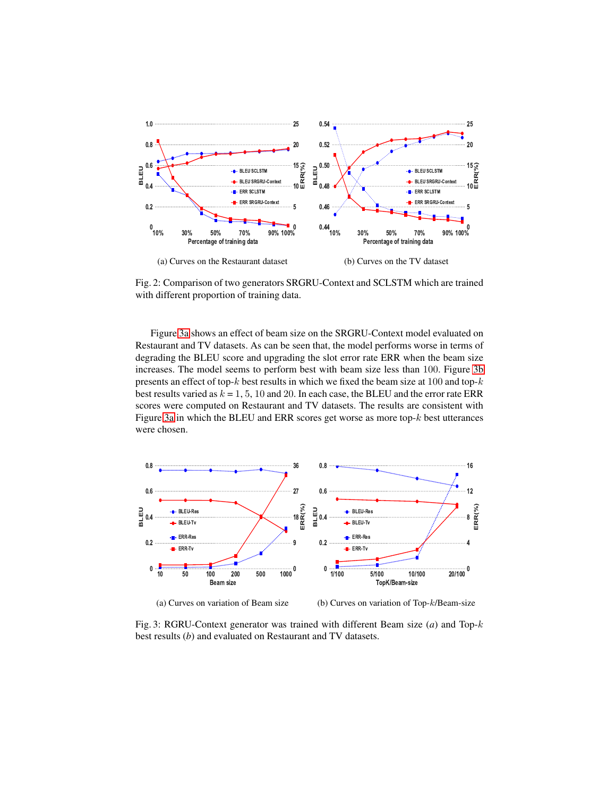<span id="page-8-0"></span>

Fig. 2: Comparison of two generators SRGRU-Context and SCLSTM which are trained with different proportion of training data.

Figure [3a](#page-8-1) shows an effect of beam size on the SRGRU-Context model evaluated on Restaurant and TV datasets. As can be seen that, the model performs worse in terms of degrading the BLEU score and upgrading the slot error rate ERR when the beam size increases. The model seems to perform best with beam size less than 100. Figure [3b](#page-8-1) presents an effect of top- $k$  best results in which we fixed the beam size at 100 and top- $k$ best results varied as  $k = 1, 5, 10$  and 20. In each case, the BLEU and the error rate ERR scores were computed on Restaurant and TV datasets. The results are consistent with Figure [3a](#page-8-1) in which the BLEU and ERR scores get worse as more top- $k$  best utterances were chosen.

<span id="page-8-1"></span>

(a) Curves on variation of Beam size

(b) Curves on variation of Top-k/Beam-size

Fig. 3: RGRU-Context generator was trained with different Beam size (*a*) and Top-k best results (*b*) and evaluated on Restaurant and TV datasets.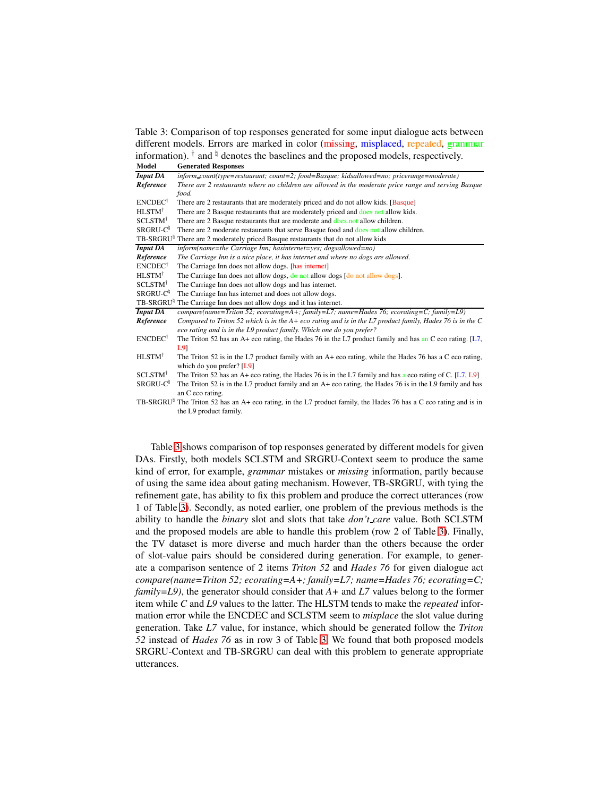<span id="page-9-0"></span>Table 3: Comparison of top responses generated for some input dialogue acts between different models. Errors are marked in color (missing, misplaced, repeated, grammar information).  $^{\dagger}$  and  $^{\dagger}$  denotes the baselines and the proposed models, respectively.

| Model                        | <b>Generated Responses</b>                                                                                 |  |  |  |  |
|------------------------------|------------------------------------------------------------------------------------------------------------|--|--|--|--|
| <b>Input DA</b>              | inform_count(type=restaurant; count=2; food=Basque; kidsallowed=no; pricerange=moderate)                   |  |  |  |  |
| Reference                    | There are 2 restaurants where no children are allowed in the moderate price range and serving Basque       |  |  |  |  |
|                              | food.                                                                                                      |  |  |  |  |
| ENCDEC <sup>†</sup>          | There are 2 restaurants that are moderately priced and do not allow kids. [Basque]                         |  |  |  |  |
| HLSTM <sup>†</sup>           | There are 2 Basque restaurants that are moderately priced and does not allow kids.                         |  |  |  |  |
| SCLSTM <sup>†</sup>          | There are 2 Basque restaurants that are moderate and does not allow children.                              |  |  |  |  |
| SRGRU-C <sup>1</sup>         | There are 2 moderate restaurants that serve Basque food and does not allow children.                       |  |  |  |  |
| <b>TB-SRGRU</b> <sup>¤</sup> | There are 2 moderately priced Basque restaurants that do not allow kids                                    |  |  |  |  |
| <b>Input DA</b>              | inform(name=the Carriage Inn; hasinternet=yes; dogsallowed=no)                                             |  |  |  |  |
| Reference                    | The Carriage Inn is a nice place, it has internet and where no dogs are allowed.                           |  |  |  |  |
| $ENCDEC^{\dagger}$           | The Carriage Inn does not allow dogs. [has internet]                                                       |  |  |  |  |
| HLSTM <sup>†</sup>           | The Carriage Inn does not allow dogs, do not allow dogs [do not allow dogs].                               |  |  |  |  |
| SCLSTM <sup>†</sup>          | The Carriage Inn does not allow dogs and has internet.                                                     |  |  |  |  |
| SRGRU-C <sup>#</sup>         | The Carriage Inn has internet and does not allow dogs.                                                     |  |  |  |  |
| <b>TB-SRGRU</b> <sup>¤</sup> | The Carriage Inn does not allow dogs and it has internet.                                                  |  |  |  |  |
| <b>Input DA</b>              | $compare(name = Triton 52; ecorating = A +$ ; $family = L7; name = Hades 76; ecorating = C; family = L9)$  |  |  |  |  |
| Reference                    | Compared to Triton 52 which is in the $A+eco$ rating and is in the L7 product family, Hades 76 is in the C |  |  |  |  |
|                              | eco rating and is in the L9 product family. Which one do you prefer?                                       |  |  |  |  |
| $ENCDEC^{\dagger}$           | The Triton 52 has an A+ eco rating, the Hades 76 in the L7 product family and has an C eco rating. $[L7,$  |  |  |  |  |
|                              | L9                                                                                                         |  |  |  |  |
| HLSTM <sup>†</sup>           | The Triton 52 is in the L7 product family with an A+ eco rating, while the Hades 76 has a C eco rating,    |  |  |  |  |
|                              | which do you prefer? [L9]                                                                                  |  |  |  |  |
| SCLSTM <sup>†</sup>          | The Triton 52 has an A+ eco rating, the Hades 76 is in the L7 family and has a eco rating of C. [L7, L9]   |  |  |  |  |
| SRGRU-C <sup>1</sup>         | The Triton 52 is in the L7 product family and an A+ eco rating, the Hades 76 is in the L9 family and has   |  |  |  |  |
|                              | an C eco rating.                                                                                           |  |  |  |  |
| <b>TB-SRGRU</b> <sup>¤</sup> | The Triton 52 has an A+ eco rating, in the L7 product family, the Hades 76 has a C eco rating and is in    |  |  |  |  |
|                              | the L9 product family.                                                                                     |  |  |  |  |

Table [3](#page-9-0) shows comparison of top responses generated by different models for given DAs. Firstly, both models SCLSTM and SRGRU-Context seem to produce the same kind of error, for example, *grammar* mistakes or *missing* information, partly because of using the same idea about gating mechanism. However, TB-SRGRU, with tying the refinement gate, has ability to fix this problem and produce the correct utterances (row 1 of Table [3\)](#page-9-0). Secondly, as noted earlier, one problem of the previous methods is the ability to handle the *binary* slot and slots that take *don't care* value. Both SCLSTM and the proposed models are able to handle this problem (row 2 of Table [3\)](#page-9-0). Finally, the TV dataset is more diverse and much harder than the others because the order of slot-value pairs should be considered during generation. For example, to generate a comparison sentence of 2 items *Triton 52* and *Hades 76* for given dialogue act *compare(name=Triton 52; ecorating=A+; family=L7; name=Hades 76; ecorating=C; family=L9)*, the generator should consider that *A+* and *L7* values belong to the former item while *C* and *L9* values to the latter. The HLSTM tends to make the *repeated* information error while the ENCDEC and SCLSTM seem to *misplace* the slot value during generation. Take *L7* value, for instance, which should be generated follow the *Triton 52* instead of *Hades 76* as in row 3 of Table [3.](#page-9-0) We found that both proposed models SRGRU-Context and TB-SRGRU can deal with this problem to generate appropriate utterances.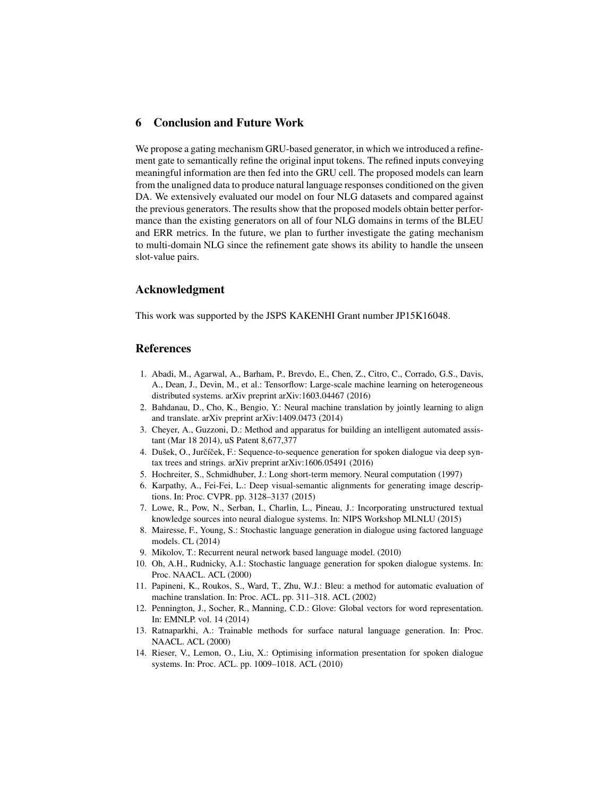# 6 Conclusion and Future Work

We propose a gating mechanism GRU-based generator, in which we introduced a refinement gate to semantically refine the original input tokens. The refined inputs conveying meaningful information are then fed into the GRU cell. The proposed models can learn from the unaligned data to produce natural language responses conditioned on the given DA. We extensively evaluated our model on four NLG datasets and compared against the previous generators. The results show that the proposed models obtain better performance than the existing generators on all of four NLG domains in terms of the BLEU and ERR metrics. In the future, we plan to further investigate the gating mechanism to multi-domain NLG since the refinement gate shows its ability to handle the unseen slot-value pairs.

## Acknowledgment

This work was supported by the JSPS KAKENHI Grant number JP15K16048.

# References

- <span id="page-10-13"></span>1. Abadi, M., Agarwal, A., Barham, P., Brevdo, E., Chen, Z., Citro, C., Corrado, G.S., Davis, A., Dean, J., Devin, M., et al.: Tensorflow: Large-scale machine learning on heterogeneous distributed systems. arXiv preprint arXiv:1603.04467 (2016)
- <span id="page-10-10"></span>2. Bahdanau, D., Cho, K., Bengio, Y.: Neural machine translation by jointly learning to align and translate. arXiv preprint arXiv:1409.0473 (2014)
- <span id="page-10-0"></span>3. Cheyer, A., Guzzoni, D.: Method and apparatus for building an intelligent automated assistant (Mar 18 2014), uS Patent 8,677,377
- <span id="page-10-3"></span>4. Dušek, O., Jurčíček, F.: Sequence-to-sequence generation for spoken dialogue via deep syntax trees and strings. arXiv preprint arXiv:1606.05491 (2016)
- <span id="page-10-11"></span><span id="page-10-7"></span>5. Hochreiter, S., Schmidhuber, J.: Long short-term memory. Neural computation (1997)
- 6. Karpathy, A., Fei-Fei, L.: Deep visual-semantic alignments for generating image descriptions. In: Proc. CVPR. pp. 3128–3137 (2015)
- <span id="page-10-8"></span>7. Lowe, R., Pow, N., Serban, I., Charlin, L., Pineau, J.: Incorporating unstructured textual knowledge sources into neural dialogue systems. In: NIPS Workshop MLNLU (2015)
- <span id="page-10-6"></span>8. Mairesse, F., Young, S.: Stochastic language generation in dialogue using factored language models. CL (2014)
- <span id="page-10-9"></span><span id="page-10-1"></span>9. Mikolov, T.: Recurrent neural network based language model. (2010)
- 10. Oh, A.H., Rudnicky, A.I.: Stochastic language generation for spoken dialogue systems. In: Proc. NAACL. ACL (2000)
- <span id="page-10-4"></span>11. Papineni, K., Roukos, S., Ward, T., Zhu, W.J.: Bleu: a method for automatic evaluation of machine translation. In: Proc. ACL. pp. 311–318. ACL (2002)
- <span id="page-10-12"></span>12. Pennington, J., Socher, R., Manning, C.D.: Glove: Global vectors for word representation. In: EMNLP. vol. 14 (2014)
- <span id="page-10-5"></span>13. Ratnaparkhi, A.: Trainable methods for surface natural language generation. In: Proc. NAACL. ACL (2000)
- <span id="page-10-2"></span>14. Rieser, V., Lemon, O., Liu, X.: Optimising information presentation for spoken dialogue systems. In: Proc. ACL. pp. 1009–1018. ACL (2010)